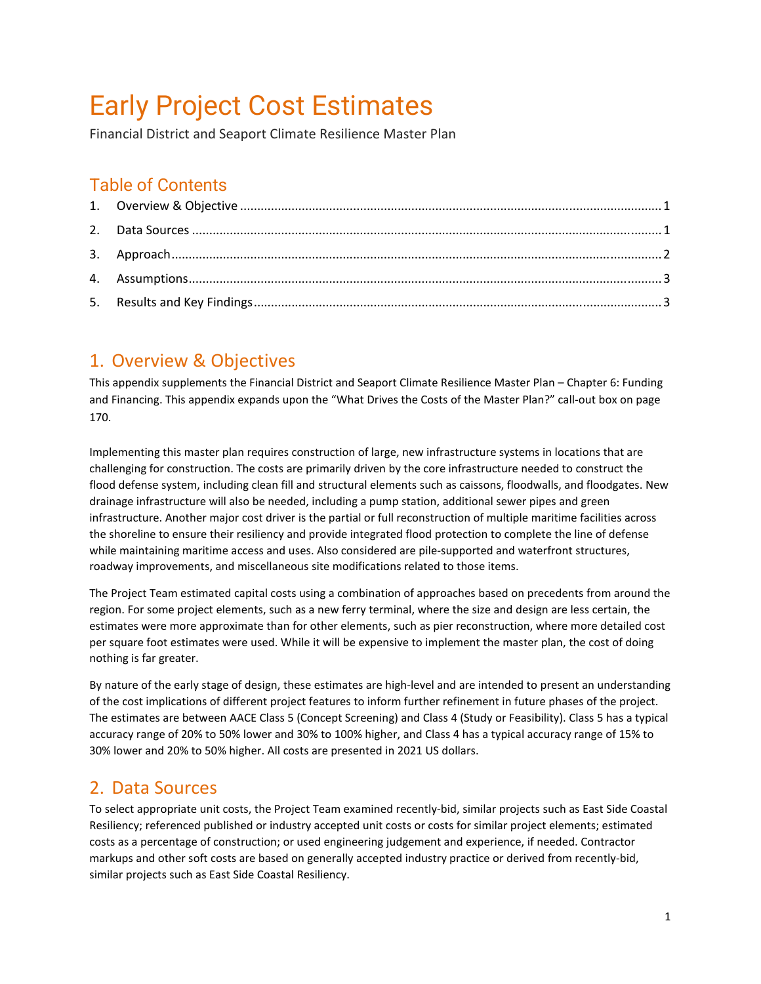# Early Project Cost Estimates

Financial District and Seaport Climate Resilience Master Plan

### Table of Contents

#### <span id="page-0-0"></span>1. Overview & Objectives

This appendix supplements the Financial District and Seaport Climate Resilience Master Plan – Chapter 6: Funding and Financing. This appendix expands upon the "What Drives the Costs of the Master Plan?" call-out box on page 170.

Implementing this master plan requires construction of large, new infrastructure systems in locations that are challenging for construction. The costs are primarily driven by the core infrastructure needed to construct the flood defense system, including clean fill and structural elements such as caissons, floodwalls, and floodgates. New drainage infrastructure will also be needed, including a pump station, additional sewer pipes and green infrastructure. Another major cost driver is the partial or full reconstruction of multiple maritime facilities across the shoreline to ensure their resiliency and provide integrated flood protection to complete the line of defense while maintaining maritime access and uses. Also considered are pile-supported and waterfront structures, roadway improvements, and miscellaneous site modifications related to those items.

The Project Team estimated capital costs using a combination of approaches based on precedents from around the region. For some project elements, such as a new ferry terminal, where the size and design are less certain, the estimates were more approximate than for other elements, such as pier reconstruction, where more detailed cost per square foot estimates were used. While it will be expensive to implement the master plan, the cost of doing nothing is far greater.

By nature of the early stage of design, these estimates are high-level and are intended to present an understanding of the cost implications of different project features to inform further refinement in future phases of the project. The estimates are between AACE Class 5 (Concept Screening) and Class 4 (Study or Feasibility). Class 5 has a typical accuracy range of 20% to 50% lower and 30% to 100% higher, and Class 4 has a typical accuracy range of 15% to 30% lower and 20% to 50% higher. All costs are presented in 2021 US dollars.

#### <span id="page-0-1"></span>2. Data Sources

To select appropriate unit costs, the Project Team examined recently-bid, similar projects such as East Side Coastal Resiliency; referenced published or industry accepted unit costs or costs for similar project elements; estimated costs as a percentage of construction; or used engineering judgement and experience, if needed. Contractor markups and other soft costs are based on generally accepted industry practice or derived from recently-bid, similar projects such as East Side Coastal Resiliency.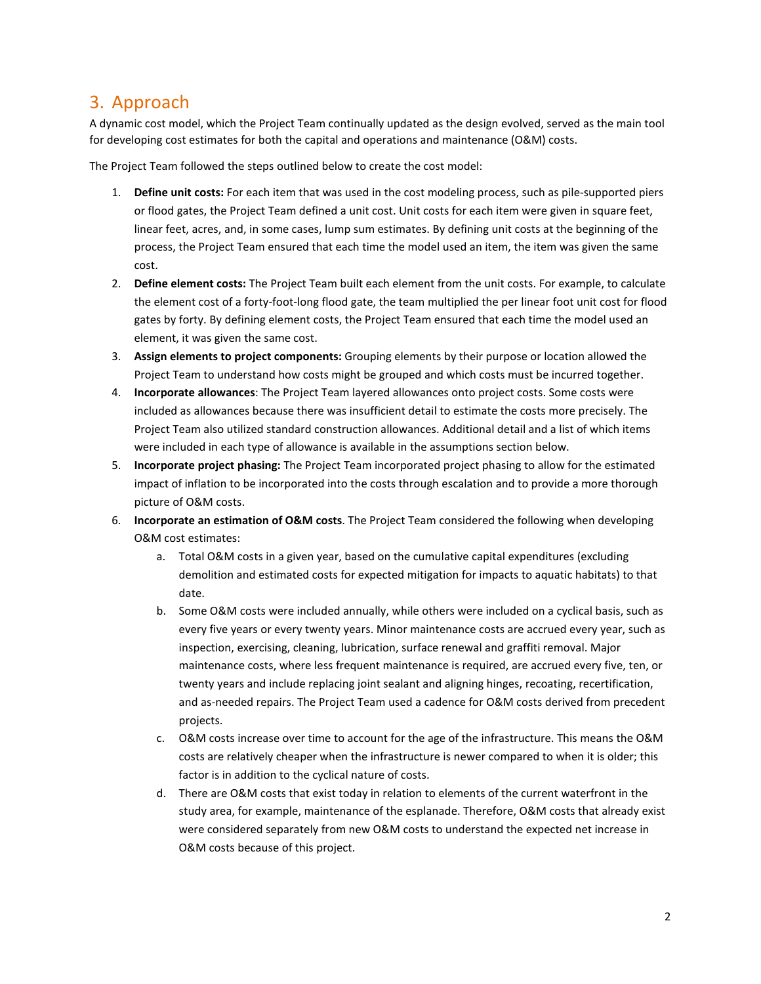#### <span id="page-1-0"></span>3. Approach

A dynamic cost model, which the Project Team continually updated as the design evolved, served as the main tool for developing cost estimates for both the capital and operations and maintenance (O&M) costs.

The Project Team followed the steps outlined below to create the cost model:

- 1. **Define unit costs:** For each item that was used in the cost modeling process, such as pile-supported piers or flood gates, the Project Team defined a unit cost. Unit costs for each item were given in square feet, linear feet, acres, and, in some cases, lump sum estimates. By defining unit costs at the beginning of the process, the Project Team ensured that each time the model used an item, the item was given the same cost.
- 2. **Define element costs:** The Project Team built each element from the unit costs. For example, to calculate the element cost of a forty-foot-long flood gate, the team multiplied the per linear foot unit cost for flood gates by forty. By defining element costs, the Project Team ensured that each time the model used an element, it was given the same cost.
- 3. **Assign elements to project components:** Grouping elements by their purpose or location allowed the Project Team to understand how costs might be grouped and which costs must be incurred together.
- 4. **Incorporate allowances**: The Project Team layered allowances onto project costs. Some costs were included as allowances because there was insufficient detail to estimate the costs more precisely. The Project Team also utilized standard construction allowances. Additional detail and a list of which items were included in each type of allowance is available in the assumptions section below.
- 5. **Incorporate project phasing:** The Project Team incorporated project phasing to allow for the estimated impact of inflation to be incorporated into the costs through escalation and to provide a more thorough picture of O&M costs.
- 6. **Incorporate an estimation of O&M costs**. The Project Team considered the following when developing O&M cost estimates:
	- a. Total O&M costs in a given year, based on the cumulative capital expenditures (excluding demolition and estimated costs for expected mitigation for impacts to aquatic habitats) to that date.
	- b. Some O&M costs were included annually, while others were included on a cyclical basis, such as every five years or every twenty years. Minor maintenance costs are accrued every year, such as inspection, exercising, cleaning, lubrication, surface renewal and graffiti removal. Major maintenance costs, where less frequent maintenance is required, are accrued every five, ten, or twenty years and include replacing joint sealant and aligning hinges, recoating, recertification, and as-needed repairs. The Project Team used a cadence for O&M costs derived from precedent projects.
	- c. O&M costs increase over time to account for the age of the infrastructure. This means the O&M costs are relatively cheaper when the infrastructure is newer compared to when it is older; this factor is in addition to the cyclical nature of costs.
	- d. There are O&M costs that exist today in relation to elements of the current waterfront in the study area, for example, maintenance of the esplanade. Therefore, O&M costs that already exist were considered separately from new O&M costs to understand the expected net increase in O&M costs because of this project.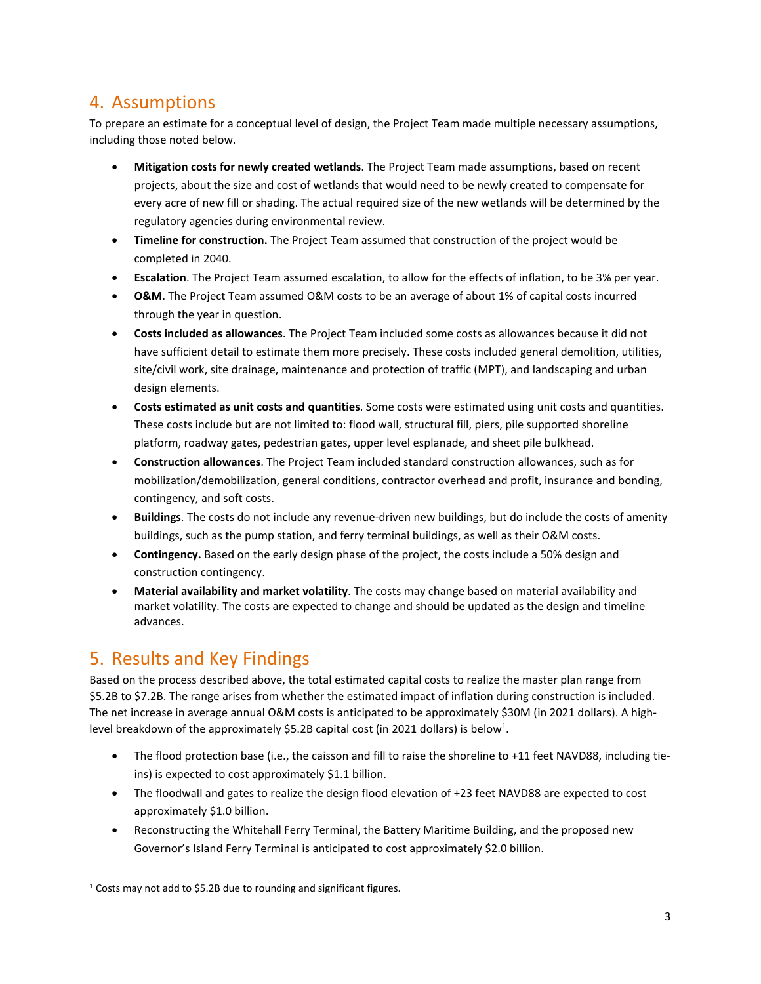## <span id="page-2-0"></span>4. Assumptions

To prepare an estimate for a conceptual level of design, the Project Team made multiple necessary assumptions, including those noted below.

- **Mitigation costs for newly created wetlands**. The Project Team made assumptions, based on recent projects, about the size and cost of wetlands that would need to be newly created to compensate for every acre of new fill or shading. The actual required size of the new wetlands will be determined by the regulatory agencies during environmental review.
- **Timeline for construction.** The Project Team assumed that construction of the project would be completed in 2040.
- **Escalation**. The Project Team assumed escalation, to allow for the effects of inflation, to be 3% per year.
- **O&M**. The Project Team assumed O&M costs to be an average of about 1% of capital costs incurred through the year in question.
- **Costs included as allowances**. The Project Team included some costs as allowances because it did not have sufficient detail to estimate them more precisely. These costs included general demolition, utilities, site/civil work, site drainage, maintenance and protection of traffic (MPT), and landscaping and urban design elements.
- **Costs estimated as unit costs and quantities**. Some costs were estimated using unit costs and quantities. These costs include but are not limited to: flood wall, structural fill, piers, pile supported shoreline platform, roadway gates, pedestrian gates, upper level esplanade, and sheet pile bulkhead.
- **Construction allowances**. The Project Team included standard construction allowances, such as for mobilization/demobilization, general conditions, contractor overhead and profit, insurance and bonding, contingency, and soft costs.
- **Buildings**. The costs do not include any revenue-driven new buildings, but do include the costs of amenity buildings, such as the pump station, and ferry terminal buildings, as well as their O&M costs.
- **Contingency.** Based on the early design phase of the project, the costs include a 50% design and construction contingency.
- **Material availability and market volatility**. The costs may change based on material availability and market volatility. The costs are expected to change and should be updated as the design and timeline advances.

#### <span id="page-2-1"></span>5. Results and Key Findings

Based on the process described above, the total estimated capital costs to realize the master plan range from \$5.2B to \$7.2B. The range arises from whether the estimated impact of inflation during construction is included. The net increase in average annual O&M costs is anticipated to be approximately \$30M (in 2021 dollars). A highlevel breakdown of the approximately \$5.2B capital cost (in 2021 dollars) is below<sup>1</sup>.

- The flood protection base (i.e., the caisson and fill to raise the shoreline to +11 feet NAVD88, including tieins) is expected to cost approximately \$1.1 billion.
- The floodwall and gates to realize the design flood elevation of +23 feet NAVD88 are expected to cost approximately \$1.0 billion.
- Reconstructing the Whitehall Ferry Terminal, the Battery Maritime Building, and the proposed new Governor's Island Ferry Terminal is anticipated to cost approximately \$2.0 billion.

<sup>&</sup>lt;sup>1</sup> Costs may not add to \$5.2B due to rounding and significant figures.